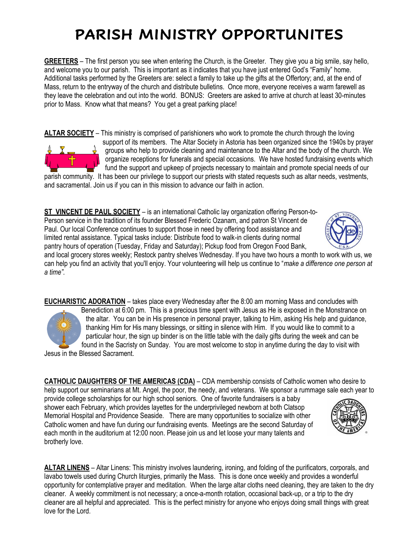## **PARISH MINISTRY OPPORTUNITES**

**GREETERS** – The first person you see when entering the Church, is the Greeter. They give you a big smile, say hello, and welcome you to our parish. This is important as it indicates that you have just entered God's "Family" home. Additional tasks performed by the Greeters are: select a family to take up the gifts at the Offertory; and, at the end of Mass, return to the entryway of the church and distribute bulletins. Once more, everyone receives a warm farewell as they leave the celebration and out into the world. BONUS: Greeters are asked to arrive at church at least 30-minutes prior to Mass. Know what that means? You get a great parking place!

**ALTAR SOCIETY** – This ministry is comprised of parishioners who work to promote the church through the loving support of its members. The Altar Society in Astoria has been organized since the 1940s by prayer groups who help to provide cleaning and maintenance to the Altar and the body of the church. We organize receptions for funerals and special occasions. We have hosted fundraising events which fund the support and upkeep of projects necessary to maintain and promote special needs of our parish community. It has been our privilege to support our priests with stated requests such as altar needs, vestments,

and sacramental. Join us if you can in this mission to advance our faith in action.

**ST VINCENT DE PAUL SOCIETY** – is an international Catholic lay organization offering Person-to-Person service in the tradition of its founder Blessed Frederic Ozanam, and patron St Vincent de Paul. Our local Conference continues to support those in need by offering food assistance and limited rental assistance. Typical tasks include: Distribute food to walk-in clients during normal pantry hours of operation (Tuesday, Friday and Saturday); Pickup food from Oregon Food Bank,

and local grocery stores weekly; Restock pantry shelves Wednesday. If you have two hours a month to work with us, we can help you find an activity that you'll enjoy. Your volunteering will help us continue to "*make a difference one person at a time".*

**EUCHARISTIC ADORATION** – takes place every Wednesday after the 8:00 am morning Mass and concludes with Benediction at 6:00 pm. This is a precious time spent with Jesus as He is exposed in the Monstrance on the altar. You can be in His presence in personal prayer, talking to Him, asking His help and guidance, thanking Him for His many blessings, or sitting in silence with Him. If you would like to commit to a particular hour, the sign up binder is on the little table with the daily gifts during the week and can be found in the Sacristy on Sunday. You are most welcome to stop in anytime during the day to visit with Jesus in the Blessed Sacrament.

**CATHOLIC DAUGHTERS OF THE AMERICAS (CDA)** – CDA membership consists of Catholic women who desire to help support our seminarians at Mt. Angel, the poor, the needy, and veterans. We sponsor a rummage sale each year to

provide college scholarships for our high school seniors. One of favorite fundraisers is a baby shower each February, which provides layettes for the underprivileged newborn at both Clatsop Memorial Hospital and Providence Seaside. There are many opportunities to socialize with other Catholic women and have fun during our fundraising events. Meetings are the second Saturday of each month in the auditorium at 12:00 noon. Please join us and let loose your many talents and brotherly love.

**ALTAR LINENS** – Altar Linens: This ministry involves laundering, ironing, and folding of the purificators, corporals, and lavabo towels used during Church liturgies, primarily the Mass. This is done once weekly and provides a wonderful opportunity for contemplative prayer and meditation. When the large altar cloths need cleaning, they are taken to the dry cleaner. A weekly commitment is not necessary; a once-a-month rotation, occasional back-up, or a trip to the dry cleaner are all helpful and appreciated. This is the perfect ministry for anyone who enjoys doing small things with great love for the Lord.





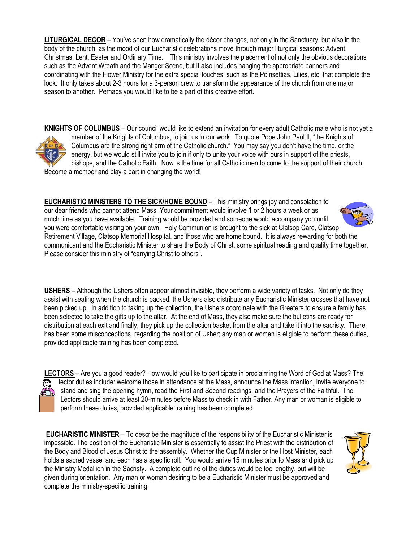**LITURGICAL DECOR** – You've seen how dramatically the décor changes, not only in the Sanctuary, but also in the body of the church, as the mood of our Eucharistic celebrations move through major liturgical seasons: Advent, Christmas, Lent, Easter and Ordinary Time. This ministry involves the placement of not only the obvious decorations such as the Advent Wreath and the Manger Scene, but it also includes hanging the appropriate banners and coordinating with the Flower Ministry for the extra special touches such as the Poinsettias, Lilies, etc. that complete the look. It only takes about 2-3 hours for a 3-person crew to transform the appearance of the church from one major season to another. Perhaps you would like to be a part of this creative effort.

**KNIGHTS OF COLUMBUS** – Our council would like to extend an invitation for every adult Catholic male who is not yet a member of the Knights of Columbus, to join us in our work. To quote Pope John Paul II, "the Knights of Columbus are the strong right arm of the Catholic church." You may say you don't have the time, or the energy, but we would still invite you to join if only to unite your voice with ours in support of the priests, bishops, and the Catholic Faith. Now is the time for all Catholic men to come to the support of their church. Become a member and play a part in changing the world!

**EUCHARISTIC MINISTERS TO THE SICK/HOME BOUND** – This ministry brings joy and consolation to our dear friends who cannot attend Mass. Your commitment would involve 1 or 2 hours a week or as much time as you have available. Training would be provided and someone would accompany you until you were comfortable visiting on your own. Holy Communion is brought to the sick at Clatsop Care, Clatsop Retirement Village, Clatsop Memorial Hospital, and those who are home bound. It is always rewarding for both the communicant and the Eucharistic Minister to share the Body of Christ, some spiritual reading and quality time together. Please consider this ministry of "carrying Christ to others".

**USHERS** – Although the Ushers often appear almost invisible, they perform a wide variety of tasks. Not only do they assist with seating when the church is packed, the Ushers also distribute any Eucharistic Minister crosses that have not been picked up. In addition to taking up the collection, the Ushers coordinate with the Greeters to ensure a family has been selected to take the gifts up to the altar. At the end of Mass, they also make sure the bulletins are ready for distribution at each exit and finally, they pick up the collection basket from the altar and take it into the sacristy. There has been some misconceptions regarding the position of Usher; any man or women is eligible to perform these duties, provided applicable training has been completed.

**LECTORS** – Are you a good reader? How would you like to participate in proclaiming the Word of God at Mass? The lector duties include: welcome those in attendance at the Mass, announce the Mass intention, invite everyone to stand and sing the opening hymn, read the First and Second readings, and the Prayers of the Faithful. The Lectors should arrive at least 20-minutes before Mass to check in with Father. Any man or woman is eligible to perform these duties, provided applicable training has been completed.

**EUCHARISTIC MINISTER** – To describe the magnitude of the responsibility of the Eucharistic Minister is impossible. The position of the Eucharistic Minister is essentially to assist the Priest with the distribution of the Body and Blood of Jesus Christ to the assembly. Whether the Cup Minister or the Host Minister, each holds a sacred vessel and each has a specific roll. You would arrive 15 minutes prior to Mass and pick up the Ministry Medallion in the Sacristy. A complete outline of the duties would be too lengthy, but will be given during orientation. Any man or woman desiring to be a Eucharistic Minister must be approved and complete the ministry-specific training.